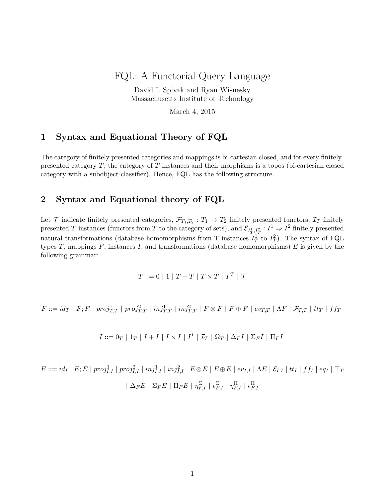# FQL: A Functorial Query Language

David I. Spivak and Ryan Wisnesky Massachusetts Institute of Technology

March 4, 2015

## **1 Syntax and Equational Theory of FQL**

The category of finitely presented categories and mappings is bi-cartesian closed, and for every finitelypresented category *T*, the category of *T* instances and their morphisms is a topos (bi-cartesian closed category with a subobject-classifier). Hence, FQL has the following structure.

### **2 Syntax and Equational theory of FQL**

Let  $\mathcal{T}$  indicate finitely presented categories,  $\mathcal{F}_{T_1,T_2}: T_1 \to T_2$  finitely presented functors,  $\mathcal{I}_T$  finitely presented *T*-instances (functors from *T* to the category of sets), and  $\mathcal{E}_{I_T^1,I_T^2}: I^1 \Rightarrow I^2$  finitely presented natural transformations (database homomorphisms from T-instances  $I_T^1$  to  $I_T^2$ ). The syntax of FQL types *T*, mappings *F*, instances *I*, and transformations (database homomorphisms) *E* is given by the following grammar:

$$
T ::= 0 | 1 | T + T | T \times T | TT | T
$$

 $F ::= id_T \mid F; F \mid proj_{T,T}^1 \mid proj_{T,T}^2 \mid inj_{T,T}^1 \mid inj_{T,T}^2 \mid F \otimes F \mid F \oplus F \mid ev_{T,T} \mid \Lambda F \mid \mathcal{F}_{T,T} \mid tt_T \mid ff_T$ 

$$
I ::= 0_T | 1_T | I + I | I \times I | I^I | \mathcal{I}_T | \Omega_T | \Delta_F I | \Sigma_F I | \Pi_F I
$$

 $E ::= id_I \mid E; E \mid proj_{I,I}^1 \mid proj_{I,I}^2 \mid inj_{I,I}^1 \mid inj_{I,I}^2 \mid E \otimes E \mid E \oplus E \mid ev_{I,I} \mid \Lambda E \mid \mathcal{E}_{I,I} \mid tt_I \mid ff_I \mid eq_I \mid \top_I$  $\mid \Delta_{F}E \mid \Sigma_{F}E \mid \Pi_{F}E \mid \eta_{F,I}^{\Sigma} \mid \epsilon_{F,I}^{\Sigma} \mid \eta_{F,I}^{\Pi} \mid \epsilon_{F,I}^{\Pi}$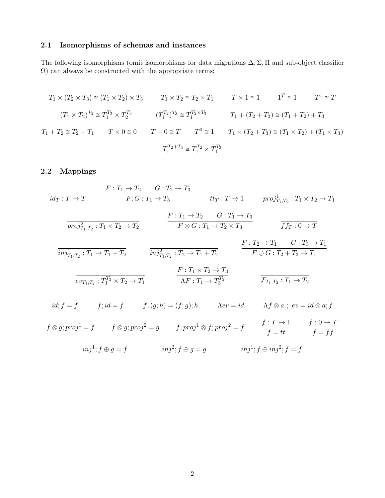### **2.1 Isomorphisms of schemas and instances**

The following isomorphisms (omit isomorphisms for data migrations ∆*,* Σ*,* Π and sub-object classifier  $\Omega)$  can always be constructed with the appropriate terms:

$$
T_1 \times (T_2 \times T_3) \cong (T_1 \times T_2) \times T_3 \qquad T_1 \times T_2 \cong T_2 \times T_1 \qquad T \times 1 \cong 1 \qquad 1^T \cong 1 \qquad T^1 \cong T
$$
  

$$
(T_1 \times T_2)^{T_3} \cong T_1^{T_3} \times T_2^{T_3} \qquad (T_1^{T_2})^{T_3} \cong T_1^{T_2 \times T_3} \qquad T_1 + (T_2 + T_3) \cong (T_1 + T_2) + T_3
$$
  

$$
T_1 + T_2 \cong T_2 + T_1 \qquad T \times 0 \cong 0 \qquad T + 0 \cong T \qquad T^0 \cong 1 \qquad T_1 \times (T_2 + T_3) \cong (T_1 \times T_2) + (T_1 \times T_3)
$$
  

$$
T_1^{T_2 + T_3} \cong T_1^{T_2} \times T_1^{T_3}
$$

# **2.2 Mappings**

$$
\frac{F: T_1 \rightarrow T}{i d_T: T \rightarrow T} \qquad \frac{F: T_1 \rightarrow T_2 \qquad G: T_2 \rightarrow T_3}{F; G: T_1 \rightarrow T_3} \qquad \frac{F: T_1 \rightarrow T_2 \qquad G: T_1 \rightarrow T_3}{F \otimes G: T_1 \rightarrow T_2 \times T_3} \qquad \frac{F: T_1 \rightarrow T_3}{f f r: 0 \rightarrow T}
$$
\n
$$
\frac{F: T_1 \rightarrow T_2 \qquad G: T_1 \rightarrow T_3}{\overline{m j_{T_1, T_2}^1: T_1 \rightarrow T_1 + T_2}} \qquad \frac{F: T_1 \rightarrow T_2 \qquad G: T_1 \rightarrow T_3}{\overline{m j_{T_1, T_2}^2: T_1 \rightarrow T_1 + T_2}} \qquad \frac{F: T_2 \rightarrow T_1 \qquad G: T_3 \rightarrow T_1}{F \oplus G: T_2 + T_3 \rightarrow T_1}
$$
\n
$$
\frac{F: T_1 \times T_2 \rightarrow T_3}{\overline{ev_{T_1, T_2}: T_1^T \times T_2 \rightarrow T_1}} \qquad \frac{F: T_1 \times T_2 \rightarrow T_3}{\Lambda F: T_1 \rightarrow T_3^T} \qquad \frac{F: T_1 \times T_2 \rightarrow T_3}{F_{T_1, T_2}: T_1 \rightarrow T_2}
$$
\n
$$
id; f = f \qquad f; id = f \qquad f; (g; h) = (f; g); h \qquad \text{A}ev = id \qquad \text{A}f \otimes a \; ; \; ev = id \otimes a; f
$$
\n
$$
f \otimes g; proj^1 = f \qquad f \otimes g; proj^2 = g \qquad f; proj^1 \otimes f; proj^2 = f \qquad \frac{f: T \rightarrow 1}{f = tt} \qquad \frac{f: 0 \rightarrow T}{f = ff}
$$
\n
$$
inj^1; f \oplus inj^2; f \oplus g = g \qquad inj^1; f \oplus inj^2; f = f
$$